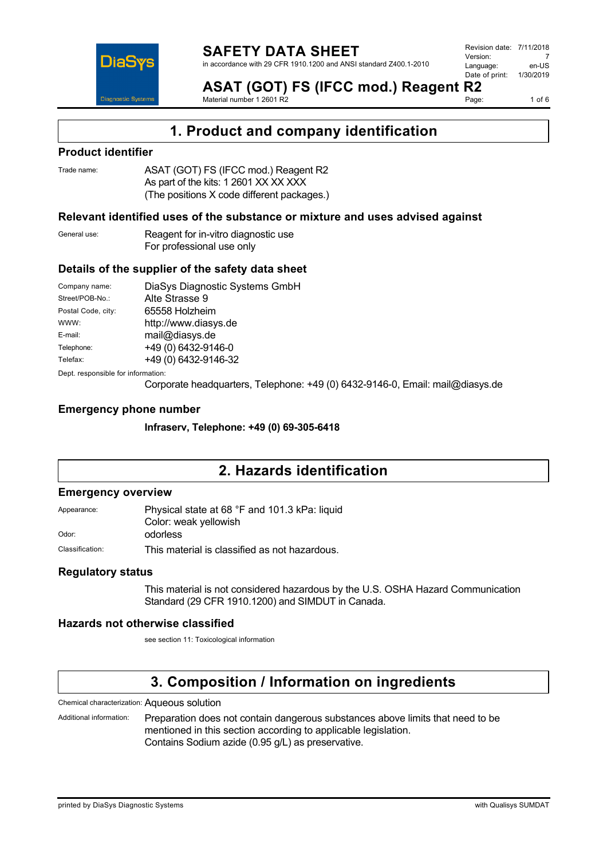

**ASAT (GOT) FS (IFCC mod.) Reagent R2** Material number 1 2601 R2

Page: 1 of 6

### **1. Product and company identification**

#### **Product identifier**

| Trade name: | ASAT (GOT) FS (IFCC mod.) Reagent R2       |
|-------------|--------------------------------------------|
|             | As part of the kits: 1 2601 XX XX XXX      |
|             | (The positions X code different packages.) |

#### **Relevant identified uses of the substance or mixture and uses advised against**

| General use: | Reagent for in-vitro diagnostic use |
|--------------|-------------------------------------|
|              | For professional use only           |

#### **Details of the supplier of the safety data sheet**

| Company name:                      | DiaSys Diagnostic Systems GmbH |  |
|------------------------------------|--------------------------------|--|
| Street/POB-No.:                    | Alte Strasse 9                 |  |
| Postal Code, city:                 | 65558 Holzheim                 |  |
| WWW:                               | http://www.diasys.de           |  |
| E-mail:                            | mail@diasys.de                 |  |
| Telephone:                         | +49 (0) 6432-9146-0            |  |
| Telefax:                           | +49 (0) 6432-9146-32           |  |
| Dept. responsible for information: |                                |  |

Corporate headquarters, Telephone: +49 (0) 6432-9146-0, Email: mail@diasys.de

#### **Emergency phone number**

**Infraserv, Telephone: +49 (0) 69-305-6418**

### **2. Hazards identification**

#### **Emergency overview**

Appearance: Physical state at 68 °F and 101.3 kPa: liquid Color: weak yellowish Odor: **odorless** 

Classification: This material is classified as not hazardous.

#### **Regulatory status**

This material is not considered hazardous by the U.S. OSHA Hazard Communication Standard (29 CFR 1910.1200) and SIMDUT in Canada.

#### **Hazards not otherwise classified**

see section 11: Toxicological information

### **3. Composition / Information on ingredients**

Chemical characterization: Aqueous solution

Additional information: Preparation does not contain dangerous substances above limits that need to be mentioned in this section according to applicable legislation. Contains Sodium azide (0.95 g/L) as preservative.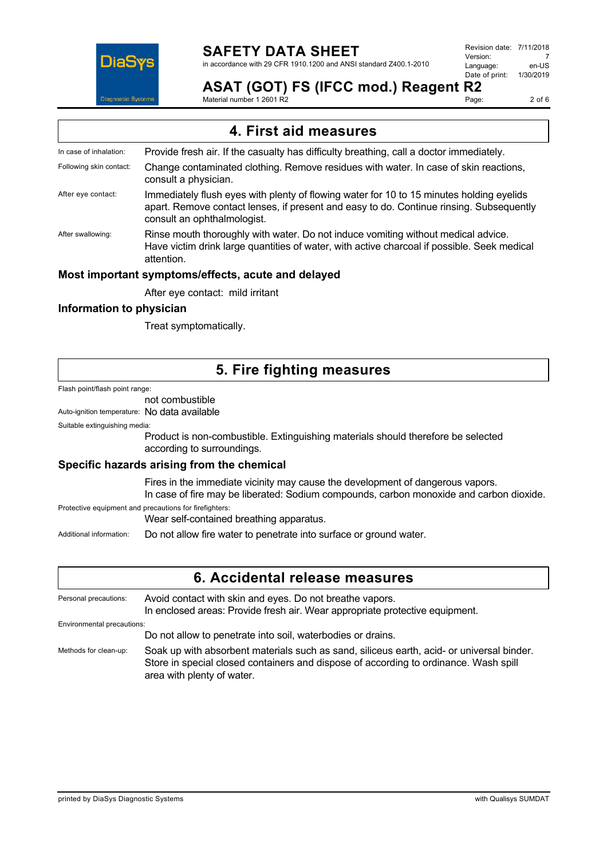

## **SAFETY DATA SHEET**

in accordance with 29 CFR 1910.1200 and ANSI standard Z400.1-2010

Revision date: 7/11/2018 Version: 7<br>Language: en-LIS Language: en-US<br>Date of print: 1/30/2019 Date of print:

### **ASAT (GOT) FS (IFCC mod.) Reagent R2**

Material number 1 2601 R2

Page: 2 of 6

# **4. First aid measures**

- In case of inhalation: Provide fresh air. If the casualty has difficulty breathing, call a doctor immediately. Following skin contact: Change contaminated clothing. Remove residues with water. In case of skin reactions, consult a physician. After eye contact: Immediately flush eyes with plenty of flowing water for 10 to 15 minutes holding eyelids
	- apart. Remove contact lenses, if present and easy to do. Continue rinsing. Subsequently consult an ophthalmologist.
- After swallowing: Rinse mouth thoroughly with water. Do not induce vomiting without medical advice. Have victim drink large quantities of water, with active charcoal if possible. Seek medical attention.

#### **Most important symptoms/effects, acute and delayed**

After eye contact: mild irritant

#### **Information to physician**

Treat symptomatically.

### **5. Fire fighting measures**

Flash point/flash point range:

### not combustible

Auto-ignition temperature: No data available

#### Suitable extinguishing media:

Product is non-combustible. Extinguishing materials should therefore be selected according to surroundings.

#### **Specific hazards arising from the chemical**

Fires in the immediate vicinity may cause the development of dangerous vapors. In case of fire may be liberated: Sodium compounds, carbon monoxide and carbon dioxide.

Protective equipment and precautions for firefighters:

Wear self-contained breathing apparatus.

Additional information: Do not allow fire water to penetrate into surface or ground water.

### **6. Accidental release measures** Personal precautions: Avoid contact with skin and eyes. Do not breathe vapors. In enclosed areas: Provide fresh air. Wear appropriate protective equipment. Environmental precautions: Do not allow to penetrate into soil, waterbodies or drains. Methods for clean-up: Soak up with absorbent materials such as sand, siliceus earth, acid- or universal binder. Store in special closed containers and dispose of according to ordinance. Wash spill area with plenty of water.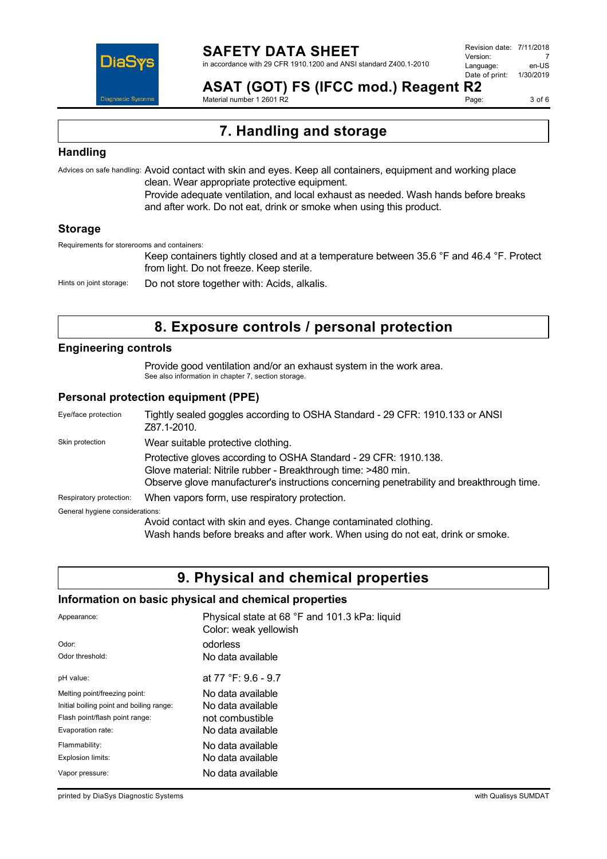

**ASAT (GOT) FS (IFCC mod.) Reagent R2** Material number 1 2601 R2

Page: 3 of 6

**7. Handling and storage**

#### **Handling**

Advices on safe handling: Avoid contact with skin and eyes. Keep all containers, equipment and working place clean. Wear appropriate protective equipment.

Provide adequate ventilation, and local exhaust as needed. Wash hands before breaks and after work. Do not eat, drink or smoke when using this product.

#### **Storage**

Requirements for storerooms and containers:

Keep containers tightly closed and at a temperature between 35.6 °F and 46.4 °F. Protect from light. Do not freeze. Keep sterile.

Hints on joint storage: Do not store together with: Acids, alkalis.

### **8. Exposure controls / personal protection**

#### **Engineering controls**

Provide good ventilation and/or an exhaust system in the work area. See also information in chapter 7, section storage.

#### **Personal protection equipment (PPE)**

| Eye/face protection             | Tightly sealed goggles according to OSHA Standard - 29 CFR: 1910.133 or ANSI<br>Z87.1-2010.                                                                                                                                    |
|---------------------------------|--------------------------------------------------------------------------------------------------------------------------------------------------------------------------------------------------------------------------------|
| Skin protection                 | Wear suitable protective clothing.                                                                                                                                                                                             |
|                                 | Protective gloves according to OSHA Standard - 29 CFR: 1910.138.<br>Glove material: Nitrile rubber - Breakthrough time: >480 min.<br>Observe glove manufacturer's instructions concerning penetrability and breakthrough time. |
| Respiratory protection:         | When vapors form, use respiratory protection.                                                                                                                                                                                  |
| General hygiene considerations: |                                                                                                                                                                                                                                |
|                                 | Avoid contact with skin and eyes. Change contaminated clothing.<br>AAL of the control of complete the control of concerning AAL concerning of the control of the field of concerning                                           |

Wash hands before breaks and after work. When using do not eat, drink or smoke.

### **9. Physical and chemical properties**

#### **Information on basic physical and chemical properties**

| Appearance:                              | Physical state at 68 °F and 101.3 kPa: liquid<br>Color: weak yellowish |
|------------------------------------------|------------------------------------------------------------------------|
| Odor:                                    | odorless                                                               |
| Odor threshold:                          | No data available                                                      |
| pH value:                                | at 77 °F: 9.6 - 9.7                                                    |
| Melting point/freezing point:            | No data available                                                      |
| Initial boiling point and boiling range: | No data available                                                      |
| Flash point/flash point range:           | not combustible                                                        |
| Evaporation rate:                        | No data available                                                      |
| Flammability:                            | No data available                                                      |
| Explosion limits:                        | No data available                                                      |
| Vapor pressure:                          | No data available                                                      |

printed by DiaSys Diagnostic Systems with Qualisys SUMDAT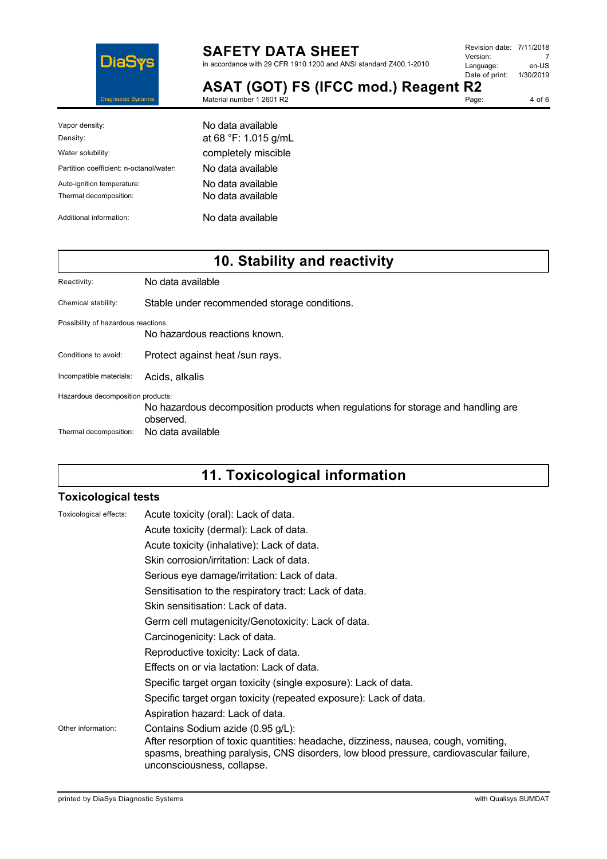

# **SAFETY DATA SHEET**

Material number 1 2601 R2

in accordance with 29 CFR 1910.1200 and ANSI standard Z400.1-2010

| Revision date: 7/11/2018 |           |
|--------------------------|-----------|
| Version:                 |           |
| Language:                | en-US     |
| Date of print:           | 1/30/2019 |
| R7                       |           |

**ASAT (GOT) FS (IFCC mod.) Reagent R2** Page: 4 of 6

| Vapor density:<br>Density:              | No data available<br>at 68 °F: 1.015 g/mL |
|-----------------------------------------|-------------------------------------------|
|                                         |                                           |
| Water solubility:                       | completely miscible                       |
| Partition coefficient: n-octanol/water: | No data available                         |
| Auto-ignition temperature:              | No data available                         |
| Thermal decomposition:                  | No data available                         |
| Additional information:                 | No data available                         |

# **10. Stability and reactivity**

| Reactivity:                                                 | No data available                                                                                                   |
|-------------------------------------------------------------|---------------------------------------------------------------------------------------------------------------------|
| Chemical stability:                                         | Stable under recommended storage conditions.                                                                        |
| Possibility of hazardous reactions                          | No hazardous reactions known.                                                                                       |
| Conditions to avoid:                                        | Protect against heat /sun rays.                                                                                     |
| Incompatible materials:                                     | Acids, alkalis                                                                                                      |
| Hazardous decomposition products:<br>Thermal decomposition: | No hazardous decomposition products when regulations for storage and handling are<br>observed.<br>No data available |

# **11. Toxicological information**

#### **Toxicological tests**

| Toxicological effects: | Acute toxicity (oral): Lack of data.                                                                                                                                                                                                              |
|------------------------|---------------------------------------------------------------------------------------------------------------------------------------------------------------------------------------------------------------------------------------------------|
|                        | Acute toxicity (dermal): Lack of data.                                                                                                                                                                                                            |
|                        | Acute toxicity (inhalative): Lack of data.                                                                                                                                                                                                        |
|                        | Skin corrosion/irritation: Lack of data.                                                                                                                                                                                                          |
|                        | Serious eye damage/irritation: Lack of data.                                                                                                                                                                                                      |
|                        | Sensitisation to the respiratory tract: Lack of data.                                                                                                                                                                                             |
|                        | Skin sensitisation: Lack of data.                                                                                                                                                                                                                 |
|                        | Germ cell mutagenicity/Genotoxicity: Lack of data.                                                                                                                                                                                                |
|                        | Carcinogenicity: Lack of data.                                                                                                                                                                                                                    |
|                        | Reproductive toxicity: Lack of data.                                                                                                                                                                                                              |
|                        | Effects on or via lactation: Lack of data.                                                                                                                                                                                                        |
|                        | Specific target organ toxicity (single exposure): Lack of data.                                                                                                                                                                                   |
|                        | Specific target organ toxicity (repeated exposure): Lack of data.                                                                                                                                                                                 |
|                        | Aspiration hazard: Lack of data.                                                                                                                                                                                                                  |
| Other information:     | Contains Sodium azide (0.95 g/L):<br>After resorption of toxic quantities: headache, dizziness, nausea, cough, vomiting,<br>spasms, breathing paralysis, CNS disorders, low blood pressure, cardiovascular failure,<br>unconsciousness, collapse. |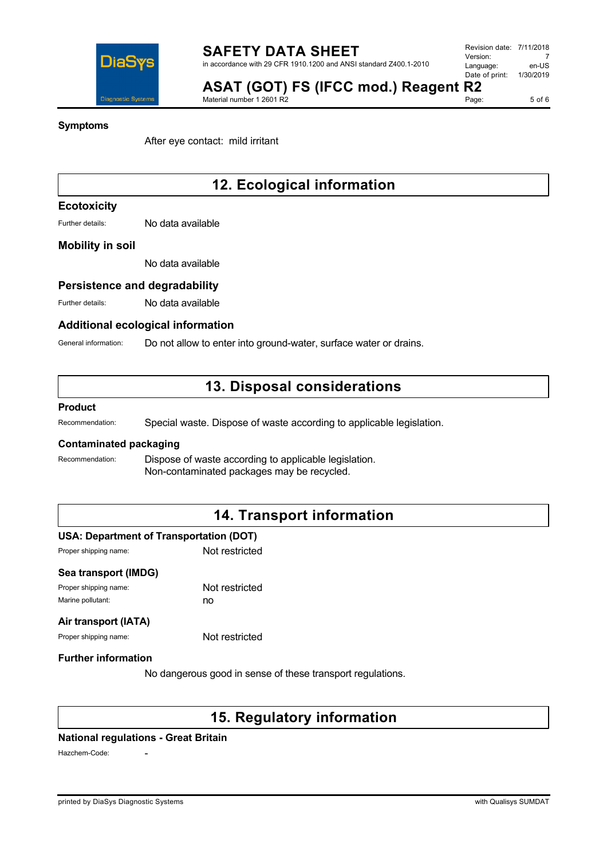

5 of 6

#### **Symptoms**

After eye contact: mild irritant

Material number 1 2601 R2

# **12. Ecological information**

#### **Ecotoxicity**

Further details: No data available

#### **Mobility in soil**

No data available

#### **Persistence and degradability**

Further details: No data available

#### **Additional ecological information**

General information: Do not allow to enter into ground-water, surface water or drains.

### **13. Disposal considerations**

#### **Product**

Recommendation: Special waste. Dispose of waste according to applicable legislation.

#### **Contaminated packaging**

Recommendation: Dispose of waste according to applicable legislation. Non-contaminated packages may be recycled.

### **14. Transport information**

#### **USA: Department of Transportation (DOT)**

Proper shipping name: Not restricted

| Sea transport (IMDG)  |                |
|-----------------------|----------------|
| Proper shipping name: | Not restricted |

Marine pollutant: no

#### **Air transport (IATA)**

Proper shipping name: Not restricted

#### **Further information**

No dangerous good in sense of these transport regulations.

### **15. Regulatory information**

#### **National regulations - Great Britain**

Hazchem-Code: